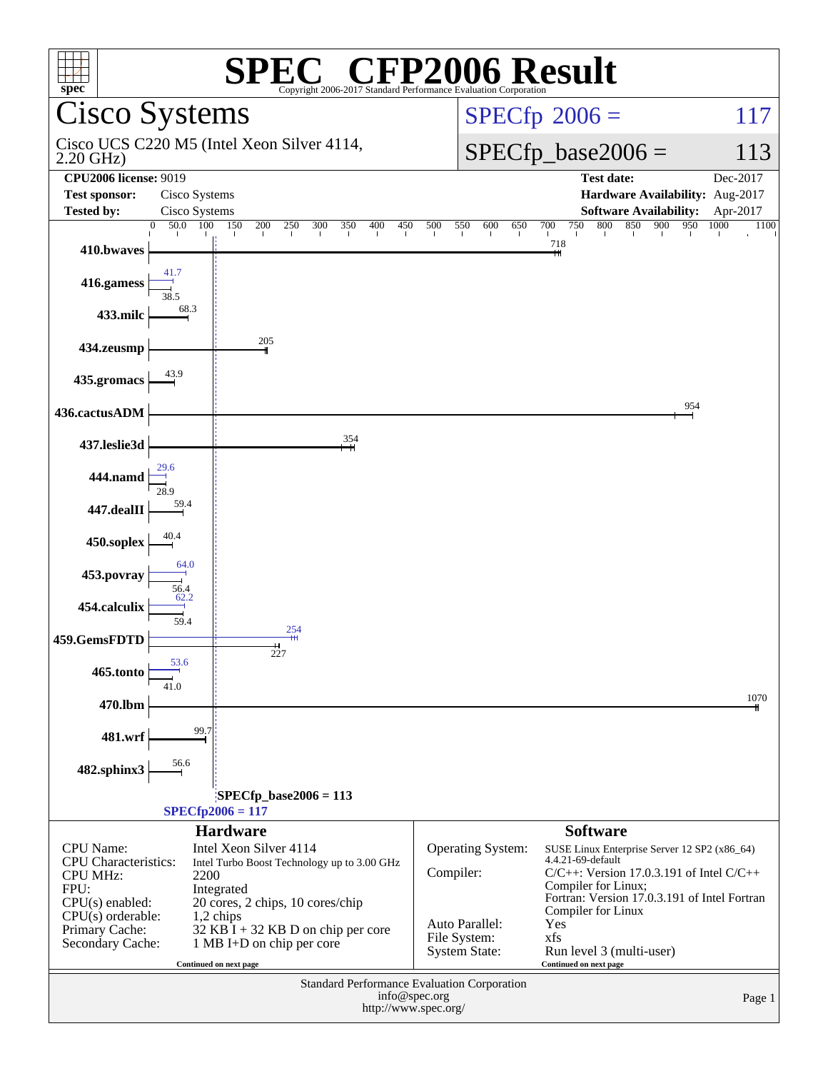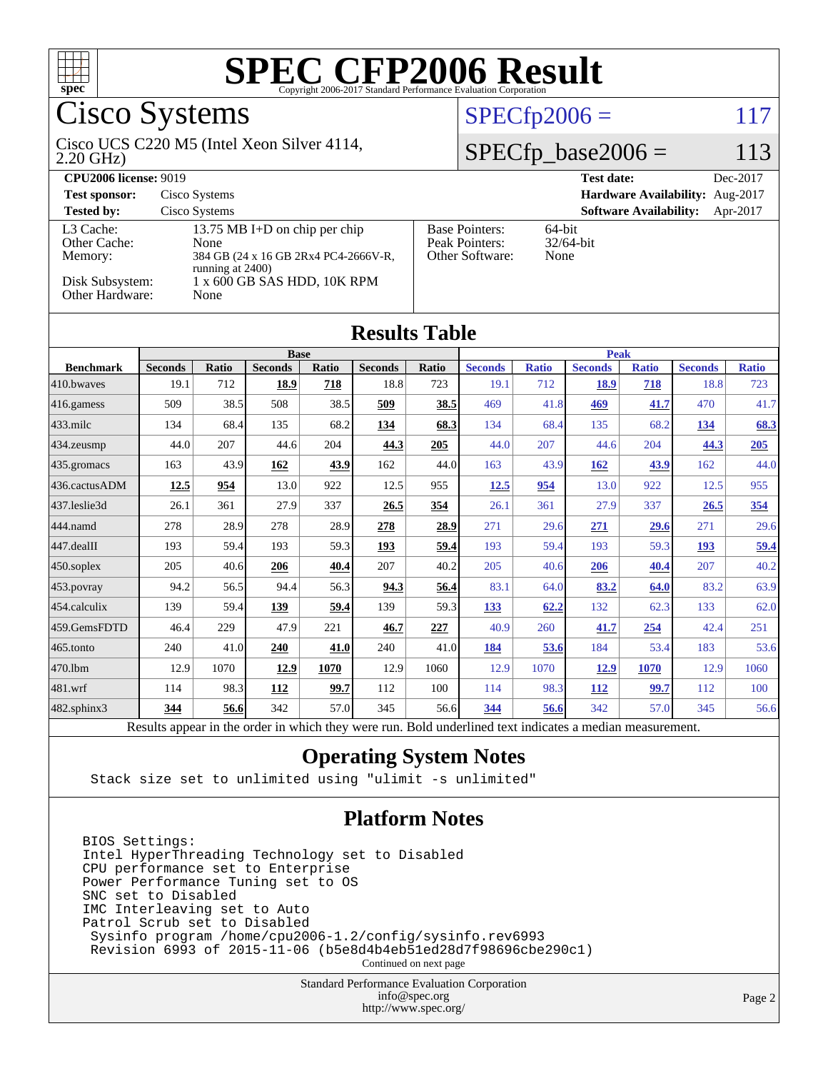

## Cisco Systems

#### 2.20 GHz) Cisco UCS C220 M5 (Intel Xeon Silver 4114,

 $SPECfp2006 = 117$  $SPECfp2006 = 117$ 

### $SPECfp\_base2006 = 113$

| <b>CPU2006 license: 9019</b>         |                                                                                                          |                                                            | <b>Test date:</b><br>Dec-2017             |  |  |  |
|--------------------------------------|----------------------------------------------------------------------------------------------------------|------------------------------------------------------------|-------------------------------------------|--|--|--|
| <b>Test sponsor:</b>                 | Cisco Systems                                                                                            |                                                            | Hardware Availability: Aug-2017           |  |  |  |
| <b>Tested by:</b>                    | Cisco Systems                                                                                            |                                                            | <b>Software Availability:</b><br>Apr-2017 |  |  |  |
| L3 Cache:<br>Other Cache:<br>Memory: | 13.75 MB I+D on chip per chip<br><b>None</b><br>384 GB (24 x 16 GB 2Rx4 PC4-2666V-R,<br>running at 2400) | <b>Base Pointers:</b><br>Peak Pointers:<br>Other Software: | $64$ -bit<br>$32/64$ -bit<br>None         |  |  |  |
| Disk Subsystem:<br>Other Hardware:   | 1 x 600 GB SAS HDD, 10K RPM<br>None                                                                      |                                                            |                                           |  |  |  |

**[Results Table](http://www.spec.org/auto/cpu2006/Docs/result-fields.html#ResultsTable)**

| Results Tadie                                                                                                                                      |                |              |                |       |                |              |                |              |                |              |                |              |
|----------------------------------------------------------------------------------------------------------------------------------------------------|----------------|--------------|----------------|-------|----------------|--------------|----------------|--------------|----------------|--------------|----------------|--------------|
|                                                                                                                                                    | <b>Base</b>    |              |                |       |                |              | <b>Peak</b>    |              |                |              |                |              |
| <b>Benchmark</b>                                                                                                                                   | <b>Seconds</b> | <b>Ratio</b> | <b>Seconds</b> | Ratio | <b>Seconds</b> | <b>Ratio</b> | <b>Seconds</b> | <b>Ratio</b> | <b>Seconds</b> | <b>Ratio</b> | <b>Seconds</b> | <b>Ratio</b> |
| 410.bwayes                                                                                                                                         | 19.1           | 712          | 18.9           | 718   | 18.8           | 723          | 19.1           | 712          | <b>18.9</b>    | 718          | 18.8           | 723          |
| $416$ .gamess                                                                                                                                      | 509            | 38.5         | 508            | 38.5  | 509            | 38.5         | 469            | 41.8         | 469            | 41.7         | 470            | 41.7         |
| $ 433 \text{.}$ milc                                                                                                                               | 134            | 68.4         | 135            | 68.2  | 134            | 68.3         | 134            | 68.4         | 135            | 68.2         | <u>134</u>     | 68.3         |
| 434.zeusmp                                                                                                                                         | 44.0           | 207          | 44.6           | 204   | 44.3           | 205          | 44.0           | 207          | 44.6           | 204          | 44.3           | 205          |
| 435.gromacs                                                                                                                                        | 163            | 43.9         | 162            | 43.9  | 162            | 44.0         | 163            | 43.9         | 162            | 43.9         | 162            | 44.0         |
| 436.cactusADM                                                                                                                                      | 12.5           | 954          | 13.0           | 922   | 12.5           | 955          | 12.5           | 954          | 13.0           | 922          | 12.5           | 955          |
| 437.leslie3d                                                                                                                                       | 26.1           | 361          | 27.9           | 337   | 26.5           | 354          | 26.1           | 361          | 27.9           | 337          | 26.5           | 354          |
| 444.namd                                                                                                                                           | 278            | 28.9         | 278            | 28.9  | 278            | 28.9         | 271            | 29.6         | 271            | 29.6         | 271            | 29.6         |
| $ 447 \text{.}$ dealII                                                                                                                             | 193            | 59.4         | 193            | 59.3  | 193            | 59.4         | 193            | 59.4         | 193            | 59.3         | 193            | 59.4         |
| $450$ .soplex                                                                                                                                      | 205            | 40.6         | 206            | 40.4  | 207            | 40.2         | 205            | 40.6         | 206            | 40.4         | 207            | 40.2         |
| 453.povray                                                                                                                                         | 94.2           | 56.5         | 94.4           | 56.3  | 94.3           | 56.4         | 83.1           | 64.0         | 83.2           | 64.0         | 83.2           | 63.9         |
| 454.calculix                                                                                                                                       | 139            | 59.4         | 139            | 59.4  | 139            | 59.3         | 133            | 62.2         | 132            | 62.3         | 133            | 62.0         |
| 459.GemsFDTD                                                                                                                                       | 46.4           | 229          | 47.9           | 221   | 46.7           | 227          | 40.9           | 260          | 41.7           | 254          | 42.4           | 251          |
| $465$ .tonto                                                                                                                                       | 240            | 41.0         | 240            | 41.0  | 240            | 41.0         | 184            | 53.6         | 184            | 53.4         | 183            | 53.6         |
| 470.lbm                                                                                                                                            | 12.9           | 1070         | 12.9           | 1070  | 12.9           | 1060         | 12.9           | 1070         | 12.9           | 1070         | 12.9           | 1060         |
| $ 481$ .wrf                                                                                                                                        | 114            | 98.3         | 112            | 99.7  | 112            | 100          | 114            | 98.3         | 112            | 99.7         | 112            | 100          |
| 482.sphinx3                                                                                                                                        | 344            | 56.6         | 342            | 57.0  | 345            | 56.6         | 344            | 56.6         | 342            | 57.0         | 345            | 56.6         |
| $\sim$ $\sim$ $\sim$ $\sim$<br>$\mathbf{1}$<br>$\cdot$<br>1.111<br>$1 \quad 1$<br>D.<br>$\mathbf{1}$<br>$\mathbf{1}$<br>$T = 11$<br>$\blacksquare$ |                |              |                |       |                |              |                |              |                |              |                |              |

Results appear in the [order in which they were run.](http://www.spec.org/auto/cpu2006/Docs/result-fields.html#RunOrder) Bold underlined text [indicates a median measurement.](http://www.spec.org/auto/cpu2006/Docs/result-fields.html#Median)

#### **[Operating System Notes](http://www.spec.org/auto/cpu2006/Docs/result-fields.html#OperatingSystemNotes)**

Stack size set to unlimited using "ulimit -s unlimited"

#### **[Platform Notes](http://www.spec.org/auto/cpu2006/Docs/result-fields.html#PlatformNotes)**

BIOS Settings: Intel HyperThreading Technology set to Disabled CPU performance set to Enterprise Power Performance Tuning set to OS SNC set to Disabled IMC Interleaving set to Auto Patrol Scrub set to Disabled Sysinfo program /home/cpu2006-1.2/config/sysinfo.rev6993 Revision 6993 of 2015-11-06 (b5e8d4b4eb51ed28d7f98696cbe290c1)

Continued on next page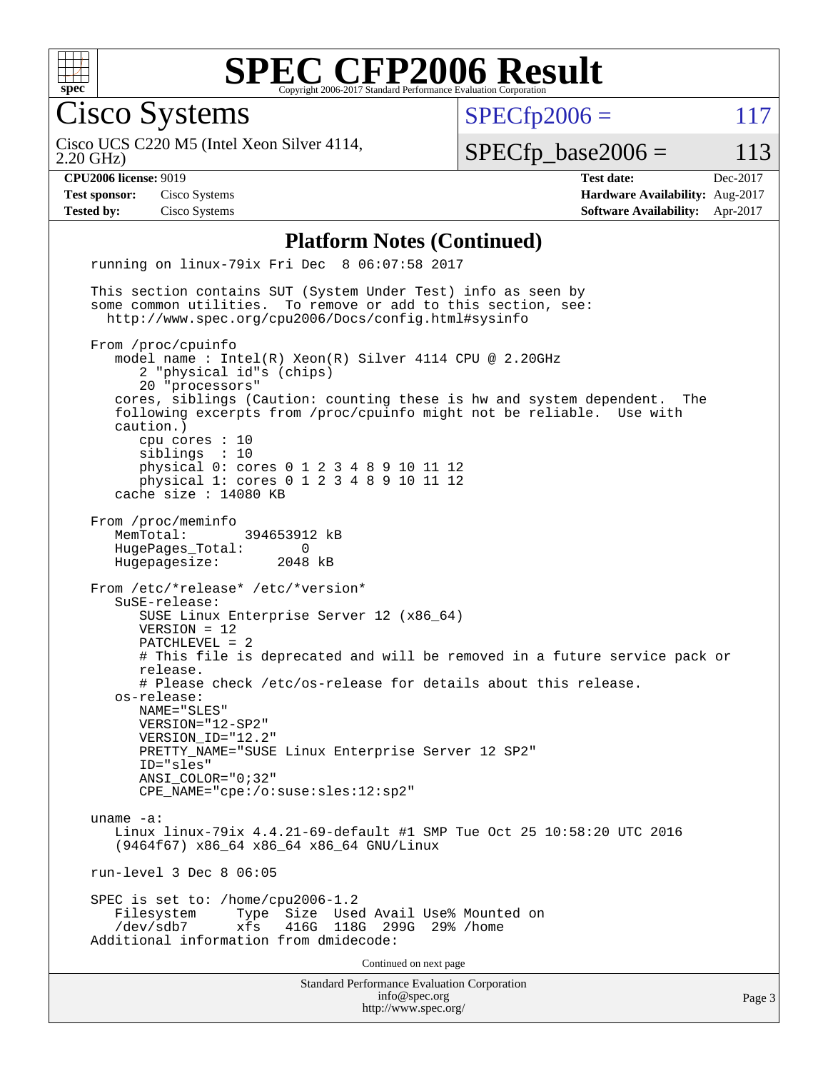

Cisco Systems

 $SPECTp2006 = 117$ 

2.20 GHz) Cisco UCS C220 M5 (Intel Xeon Silver 4114,

 $SPECTp\_base2006 = 113$ 

**[CPU2006 license:](http://www.spec.org/auto/cpu2006/Docs/result-fields.html#CPU2006license)** 9019 **[Test date:](http://www.spec.org/auto/cpu2006/Docs/result-fields.html#Testdate)** Dec-2017 **[Test sponsor:](http://www.spec.org/auto/cpu2006/Docs/result-fields.html#Testsponsor)** Cisco Systems **[Hardware Availability:](http://www.spec.org/auto/cpu2006/Docs/result-fields.html#HardwareAvailability)** Aug-2017 **[Tested by:](http://www.spec.org/auto/cpu2006/Docs/result-fields.html#Testedby)** Cisco Systems **[Software Availability:](http://www.spec.org/auto/cpu2006/Docs/result-fields.html#SoftwareAvailability)** Apr-2017

#### **[Platform Notes \(Continued\)](http://www.spec.org/auto/cpu2006/Docs/result-fields.html#PlatformNotes)**

Standard Performance Evaluation Corporation [info@spec.org](mailto:info@spec.org) <http://www.spec.org/> Page 3 running on linux-79ix Fri Dec 8 06:07:58 2017 This section contains SUT (System Under Test) info as seen by some common utilities. To remove or add to this section, see: <http://www.spec.org/cpu2006/Docs/config.html#sysinfo> From /proc/cpuinfo model name : Intel(R) Xeon(R) Silver 4114 CPU @ 2.20GHz 2 "physical id"s (chips) 20 "processors" cores, siblings (Caution: counting these is hw and system dependent. The following excerpts from /proc/cpuinfo might not be reliable. Use with caution.) cpu cores : 10 siblings : 10 physical 0: cores 0 1 2 3 4 8 9 10 11 12 physical 1: cores 0 1 2 3 4 8 9 10 11 12 cache size : 14080 KB From /proc/meminfo MemTotal: 394653912 kB HugePages\_Total: 0<br>Hugepagesize: 2048 kB Hugepagesize: From /etc/\*release\* /etc/\*version\* SuSE-release: SUSE Linux Enterprise Server 12 (x86\_64) VERSION = 12 PATCHLEVEL = 2 # This file is deprecated and will be removed in a future service pack or release. # Please check /etc/os-release for details about this release. os-release: NAME="SLES" VERSION="12-SP2" VERSION\_ID="12.2" PRETTY\_NAME="SUSE Linux Enterprise Server 12 SP2" ID="sles" ANSI\_COLOR="0;32" CPE\_NAME="cpe:/o:suse:sles:12:sp2" uname -a: Linux linux-79ix 4.4.21-69-default #1 SMP Tue Oct 25 10:58:20 UTC 2016 (9464f67) x86\_64 x86\_64 x86\_64 GNU/Linux run-level 3 Dec 8 06:05 SPEC is set to: /home/cpu2006-1.2 Filesystem Type Size Used Avail Use% Mounted on /dev/sdb7 xfs 416G 118G 299G 29% /home Additional information from dmidecode: Continued on next page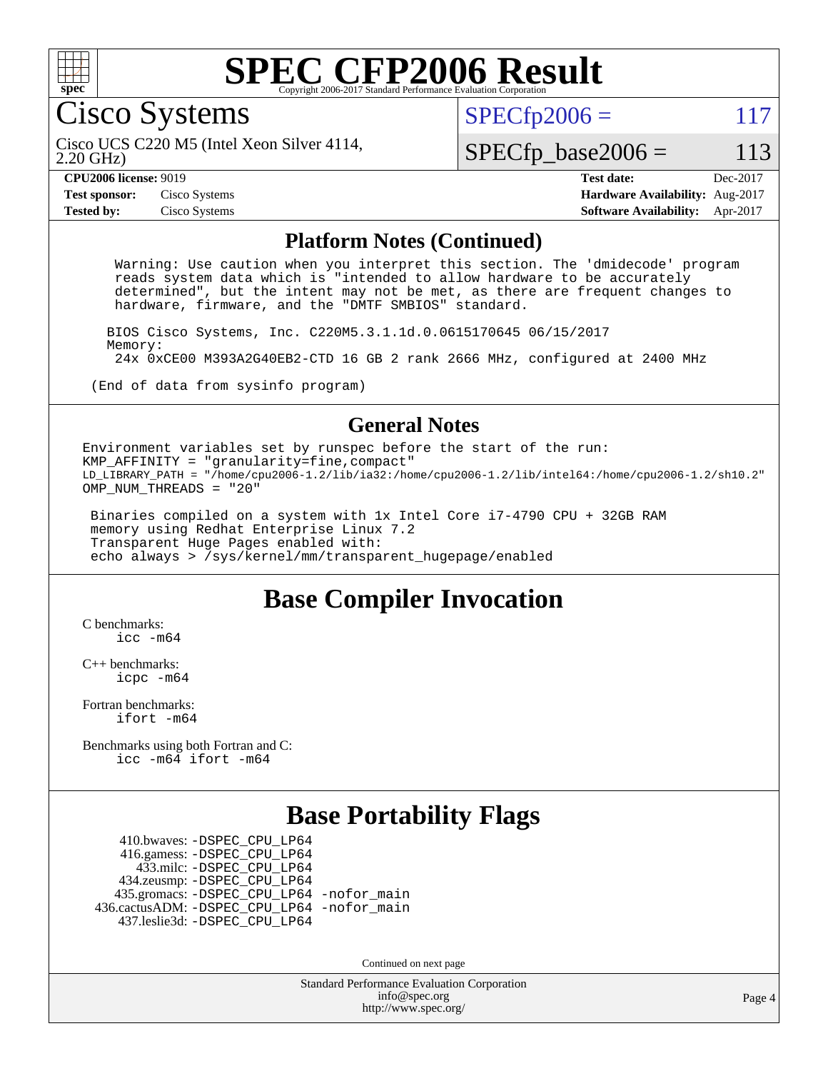

Cisco Systems

 $SPECTp2006 = 117$ 

2.20 GHz) Cisco UCS C220 M5 (Intel Xeon Silver 4114,

### $SPECfp\_base2006 = 113$

**[CPU2006 license:](http://www.spec.org/auto/cpu2006/Docs/result-fields.html#CPU2006license)** 9019 **[Test date:](http://www.spec.org/auto/cpu2006/Docs/result-fields.html#Testdate)** Dec-2017 **[Test sponsor:](http://www.spec.org/auto/cpu2006/Docs/result-fields.html#Testsponsor)** Cisco Systems **[Hardware Availability:](http://www.spec.org/auto/cpu2006/Docs/result-fields.html#HardwareAvailability)** Aug-2017 **[Tested by:](http://www.spec.org/auto/cpu2006/Docs/result-fields.html#Testedby)** Cisco Systems **[Software Availability:](http://www.spec.org/auto/cpu2006/Docs/result-fields.html#SoftwareAvailability)** Apr-2017

#### **[Platform Notes \(Continued\)](http://www.spec.org/auto/cpu2006/Docs/result-fields.html#PlatformNotes)**

 Warning: Use caution when you interpret this section. The 'dmidecode' program reads system data which is "intended to allow hardware to be accurately determined", but the intent may not be met, as there are frequent changes to hardware, firmware, and the "DMTF SMBIOS" standard.

 BIOS Cisco Systems, Inc. C220M5.3.1.1d.0.0615170645 06/15/2017 Memory: 24x 0xCE00 M393A2G40EB2-CTD 16 GB 2 rank 2666 MHz, configured at 2400 MHz

(End of data from sysinfo program)

#### **[General Notes](http://www.spec.org/auto/cpu2006/Docs/result-fields.html#GeneralNotes)**

Environment variables set by runspec before the start of the run: KMP\_AFFINITY = "granularity=fine,compact" LD\_LIBRARY\_PATH = "/home/cpu2006-1.2/lib/ia32:/home/cpu2006-1.2/lib/intel64:/home/cpu2006-1.2/sh10.2" OMP NUM THREADS = "20"

 Binaries compiled on a system with 1x Intel Core i7-4790 CPU + 32GB RAM memory using Redhat Enterprise Linux 7.2 Transparent Huge Pages enabled with: echo always > /sys/kernel/mm/transparent\_hugepage/enabled

## **[Base Compiler Invocation](http://www.spec.org/auto/cpu2006/Docs/result-fields.html#BaseCompilerInvocation)**

[C benchmarks](http://www.spec.org/auto/cpu2006/Docs/result-fields.html#Cbenchmarks): [icc -m64](http://www.spec.org/cpu2006/results/res2017q4/cpu2006-20171211-50981.flags.html#user_CCbase_intel_icc_64bit_bda6cc9af1fdbb0edc3795bac97ada53)

[C++ benchmarks:](http://www.spec.org/auto/cpu2006/Docs/result-fields.html#CXXbenchmarks) [icpc -m64](http://www.spec.org/cpu2006/results/res2017q4/cpu2006-20171211-50981.flags.html#user_CXXbase_intel_icpc_64bit_fc66a5337ce925472a5c54ad6a0de310)

[Fortran benchmarks](http://www.spec.org/auto/cpu2006/Docs/result-fields.html#Fortranbenchmarks): [ifort -m64](http://www.spec.org/cpu2006/results/res2017q4/cpu2006-20171211-50981.flags.html#user_FCbase_intel_ifort_64bit_ee9d0fb25645d0210d97eb0527dcc06e)

[Benchmarks using both Fortran and C](http://www.spec.org/auto/cpu2006/Docs/result-fields.html#BenchmarksusingbothFortranandC): [icc -m64](http://www.spec.org/cpu2006/results/res2017q4/cpu2006-20171211-50981.flags.html#user_CC_FCbase_intel_icc_64bit_bda6cc9af1fdbb0edc3795bac97ada53) [ifort -m64](http://www.spec.org/cpu2006/results/res2017q4/cpu2006-20171211-50981.flags.html#user_CC_FCbase_intel_ifort_64bit_ee9d0fb25645d0210d97eb0527dcc06e)

## **[Base Portability Flags](http://www.spec.org/auto/cpu2006/Docs/result-fields.html#BasePortabilityFlags)**

 410.bwaves: [-DSPEC\\_CPU\\_LP64](http://www.spec.org/cpu2006/results/res2017q4/cpu2006-20171211-50981.flags.html#suite_basePORTABILITY410_bwaves_DSPEC_CPU_LP64) 416.gamess: [-DSPEC\\_CPU\\_LP64](http://www.spec.org/cpu2006/results/res2017q4/cpu2006-20171211-50981.flags.html#suite_basePORTABILITY416_gamess_DSPEC_CPU_LP64) 433.milc: [-DSPEC\\_CPU\\_LP64](http://www.spec.org/cpu2006/results/res2017q4/cpu2006-20171211-50981.flags.html#suite_basePORTABILITY433_milc_DSPEC_CPU_LP64) 434.zeusmp: [-DSPEC\\_CPU\\_LP64](http://www.spec.org/cpu2006/results/res2017q4/cpu2006-20171211-50981.flags.html#suite_basePORTABILITY434_zeusmp_DSPEC_CPU_LP64) 435.gromacs: [-DSPEC\\_CPU\\_LP64](http://www.spec.org/cpu2006/results/res2017q4/cpu2006-20171211-50981.flags.html#suite_basePORTABILITY435_gromacs_DSPEC_CPU_LP64) [-nofor\\_main](http://www.spec.org/cpu2006/results/res2017q4/cpu2006-20171211-50981.flags.html#user_baseLDPORTABILITY435_gromacs_f-nofor_main) 436.cactusADM: [-DSPEC\\_CPU\\_LP64](http://www.spec.org/cpu2006/results/res2017q4/cpu2006-20171211-50981.flags.html#suite_basePORTABILITY436_cactusADM_DSPEC_CPU_LP64) [-nofor\\_main](http://www.spec.org/cpu2006/results/res2017q4/cpu2006-20171211-50981.flags.html#user_baseLDPORTABILITY436_cactusADM_f-nofor_main) 437.leslie3d: [-DSPEC\\_CPU\\_LP64](http://www.spec.org/cpu2006/results/res2017q4/cpu2006-20171211-50981.flags.html#suite_basePORTABILITY437_leslie3d_DSPEC_CPU_LP64)

Continued on next page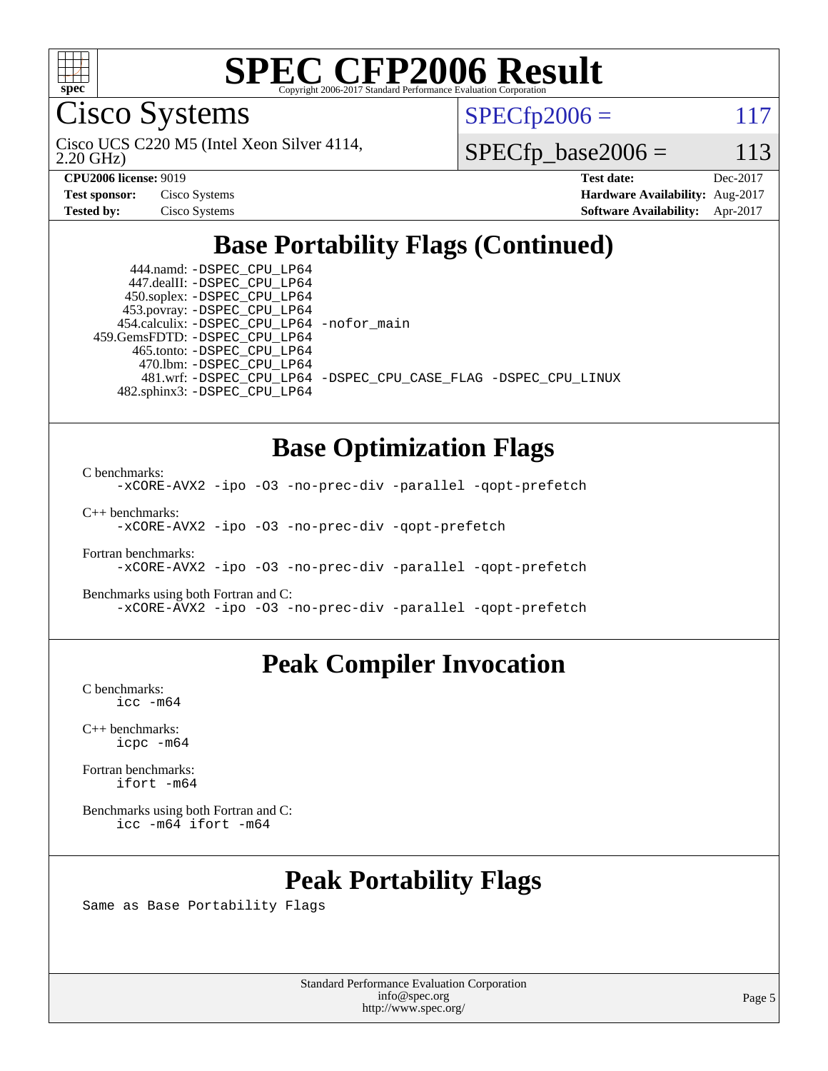

Cisco Systems

2.20 GHz) Cisco UCS C220 M5 (Intel Xeon Silver 4114,  $SPECTp2006 = 117$ 

 $SPECfp\_base2006 = 113$ 

| <b>Test sponsor:</b> | Cisco Systems |
|----------------------|---------------|
| <b>Tested by:</b>    | Cisco Systems |

**[CPU2006 license:](http://www.spec.org/auto/cpu2006/Docs/result-fields.html#CPU2006license)** 9019 **[Test date:](http://www.spec.org/auto/cpu2006/Docs/result-fields.html#Testdate)** Dec-2017 **[Hardware Availability:](http://www.spec.org/auto/cpu2006/Docs/result-fields.html#HardwareAvailability)** Aug-2017 **[Software Availability:](http://www.spec.org/auto/cpu2006/Docs/result-fields.html#SoftwareAvailability)** Apr-2017

## **[Base Portability Flags \(Continued\)](http://www.spec.org/auto/cpu2006/Docs/result-fields.html#BasePortabilityFlags)**

 444.namd: [-DSPEC\\_CPU\\_LP64](http://www.spec.org/cpu2006/results/res2017q4/cpu2006-20171211-50981.flags.html#suite_basePORTABILITY444_namd_DSPEC_CPU_LP64) 447.dealII: [-DSPEC\\_CPU\\_LP64](http://www.spec.org/cpu2006/results/res2017q4/cpu2006-20171211-50981.flags.html#suite_basePORTABILITY447_dealII_DSPEC_CPU_LP64) 450.soplex: [-DSPEC\\_CPU\\_LP64](http://www.spec.org/cpu2006/results/res2017q4/cpu2006-20171211-50981.flags.html#suite_basePORTABILITY450_soplex_DSPEC_CPU_LP64) 453.povray: [-DSPEC\\_CPU\\_LP64](http://www.spec.org/cpu2006/results/res2017q4/cpu2006-20171211-50981.flags.html#suite_basePORTABILITY453_povray_DSPEC_CPU_LP64) 454.calculix: [-DSPEC\\_CPU\\_LP64](http://www.spec.org/cpu2006/results/res2017q4/cpu2006-20171211-50981.flags.html#suite_basePORTABILITY454_calculix_DSPEC_CPU_LP64) [-nofor\\_main](http://www.spec.org/cpu2006/results/res2017q4/cpu2006-20171211-50981.flags.html#user_baseLDPORTABILITY454_calculix_f-nofor_main) 459.GemsFDTD: [-DSPEC\\_CPU\\_LP64](http://www.spec.org/cpu2006/results/res2017q4/cpu2006-20171211-50981.flags.html#suite_basePORTABILITY459_GemsFDTD_DSPEC_CPU_LP64) 465.tonto: [-DSPEC\\_CPU\\_LP64](http://www.spec.org/cpu2006/results/res2017q4/cpu2006-20171211-50981.flags.html#suite_basePORTABILITY465_tonto_DSPEC_CPU_LP64) 470.lbm: [-DSPEC\\_CPU\\_LP64](http://www.spec.org/cpu2006/results/res2017q4/cpu2006-20171211-50981.flags.html#suite_basePORTABILITY470_lbm_DSPEC_CPU_LP64) 482.sphinx3: [-DSPEC\\_CPU\\_LP64](http://www.spec.org/cpu2006/results/res2017q4/cpu2006-20171211-50981.flags.html#suite_basePORTABILITY482_sphinx3_DSPEC_CPU_LP64)

481.wrf: [-DSPEC\\_CPU\\_LP64](http://www.spec.org/cpu2006/results/res2017q4/cpu2006-20171211-50981.flags.html#suite_basePORTABILITY481_wrf_DSPEC_CPU_LP64) [-DSPEC\\_CPU\\_CASE\\_FLAG](http://www.spec.org/cpu2006/results/res2017q4/cpu2006-20171211-50981.flags.html#b481.wrf_baseCPORTABILITY_DSPEC_CPU_CASE_FLAG) [-DSPEC\\_CPU\\_LINUX](http://www.spec.org/cpu2006/results/res2017q4/cpu2006-20171211-50981.flags.html#b481.wrf_baseCPORTABILITY_DSPEC_CPU_LINUX)

#### **[Base Optimization Flags](http://www.spec.org/auto/cpu2006/Docs/result-fields.html#BaseOptimizationFlags)**

[C benchmarks](http://www.spec.org/auto/cpu2006/Docs/result-fields.html#Cbenchmarks):

[-xCORE-AVX2](http://www.spec.org/cpu2006/results/res2017q4/cpu2006-20171211-50981.flags.html#user_CCbase_f-xCORE-AVX2) [-ipo](http://www.spec.org/cpu2006/results/res2017q4/cpu2006-20171211-50981.flags.html#user_CCbase_f-ipo) [-O3](http://www.spec.org/cpu2006/results/res2017q4/cpu2006-20171211-50981.flags.html#user_CCbase_f-O3) [-no-prec-div](http://www.spec.org/cpu2006/results/res2017q4/cpu2006-20171211-50981.flags.html#user_CCbase_f-no-prec-div) [-parallel](http://www.spec.org/cpu2006/results/res2017q4/cpu2006-20171211-50981.flags.html#user_CCbase_f-parallel) [-qopt-prefetch](http://www.spec.org/cpu2006/results/res2017q4/cpu2006-20171211-50981.flags.html#user_CCbase_f-qopt-prefetch)

[C++ benchmarks:](http://www.spec.org/auto/cpu2006/Docs/result-fields.html#CXXbenchmarks) [-xCORE-AVX2](http://www.spec.org/cpu2006/results/res2017q4/cpu2006-20171211-50981.flags.html#user_CXXbase_f-xCORE-AVX2) [-ipo](http://www.spec.org/cpu2006/results/res2017q4/cpu2006-20171211-50981.flags.html#user_CXXbase_f-ipo) [-O3](http://www.spec.org/cpu2006/results/res2017q4/cpu2006-20171211-50981.flags.html#user_CXXbase_f-O3) [-no-prec-div](http://www.spec.org/cpu2006/results/res2017q4/cpu2006-20171211-50981.flags.html#user_CXXbase_f-no-prec-div) [-qopt-prefetch](http://www.spec.org/cpu2006/results/res2017q4/cpu2006-20171211-50981.flags.html#user_CXXbase_f-qopt-prefetch)

[Fortran benchmarks](http://www.spec.org/auto/cpu2006/Docs/result-fields.html#Fortranbenchmarks): [-xCORE-AVX2](http://www.spec.org/cpu2006/results/res2017q4/cpu2006-20171211-50981.flags.html#user_FCbase_f-xCORE-AVX2) [-ipo](http://www.spec.org/cpu2006/results/res2017q4/cpu2006-20171211-50981.flags.html#user_FCbase_f-ipo) [-O3](http://www.spec.org/cpu2006/results/res2017q4/cpu2006-20171211-50981.flags.html#user_FCbase_f-O3) [-no-prec-div](http://www.spec.org/cpu2006/results/res2017q4/cpu2006-20171211-50981.flags.html#user_FCbase_f-no-prec-div) [-parallel](http://www.spec.org/cpu2006/results/res2017q4/cpu2006-20171211-50981.flags.html#user_FCbase_f-parallel) [-qopt-prefetch](http://www.spec.org/cpu2006/results/res2017q4/cpu2006-20171211-50981.flags.html#user_FCbase_f-qopt-prefetch)

[Benchmarks using both Fortran and C](http://www.spec.org/auto/cpu2006/Docs/result-fields.html#BenchmarksusingbothFortranandC): [-xCORE-AVX2](http://www.spec.org/cpu2006/results/res2017q4/cpu2006-20171211-50981.flags.html#user_CC_FCbase_f-xCORE-AVX2) [-ipo](http://www.spec.org/cpu2006/results/res2017q4/cpu2006-20171211-50981.flags.html#user_CC_FCbase_f-ipo) [-O3](http://www.spec.org/cpu2006/results/res2017q4/cpu2006-20171211-50981.flags.html#user_CC_FCbase_f-O3) [-no-prec-div](http://www.spec.org/cpu2006/results/res2017q4/cpu2006-20171211-50981.flags.html#user_CC_FCbase_f-no-prec-div) [-parallel](http://www.spec.org/cpu2006/results/res2017q4/cpu2006-20171211-50981.flags.html#user_CC_FCbase_f-parallel) [-qopt-prefetch](http://www.spec.org/cpu2006/results/res2017q4/cpu2006-20171211-50981.flags.html#user_CC_FCbase_f-qopt-prefetch)

## **[Peak Compiler Invocation](http://www.spec.org/auto/cpu2006/Docs/result-fields.html#PeakCompilerInvocation)**

[C benchmarks](http://www.spec.org/auto/cpu2006/Docs/result-fields.html#Cbenchmarks): [icc -m64](http://www.spec.org/cpu2006/results/res2017q4/cpu2006-20171211-50981.flags.html#user_CCpeak_intel_icc_64bit_bda6cc9af1fdbb0edc3795bac97ada53)

[C++ benchmarks:](http://www.spec.org/auto/cpu2006/Docs/result-fields.html#CXXbenchmarks) [icpc -m64](http://www.spec.org/cpu2006/results/res2017q4/cpu2006-20171211-50981.flags.html#user_CXXpeak_intel_icpc_64bit_fc66a5337ce925472a5c54ad6a0de310)

[Fortran benchmarks](http://www.spec.org/auto/cpu2006/Docs/result-fields.html#Fortranbenchmarks): [ifort -m64](http://www.spec.org/cpu2006/results/res2017q4/cpu2006-20171211-50981.flags.html#user_FCpeak_intel_ifort_64bit_ee9d0fb25645d0210d97eb0527dcc06e)

[Benchmarks using both Fortran and C](http://www.spec.org/auto/cpu2006/Docs/result-fields.html#BenchmarksusingbothFortranandC): [icc -m64](http://www.spec.org/cpu2006/results/res2017q4/cpu2006-20171211-50981.flags.html#user_CC_FCpeak_intel_icc_64bit_bda6cc9af1fdbb0edc3795bac97ada53) [ifort -m64](http://www.spec.org/cpu2006/results/res2017q4/cpu2006-20171211-50981.flags.html#user_CC_FCpeak_intel_ifort_64bit_ee9d0fb25645d0210d97eb0527dcc06e)

## **[Peak Portability Flags](http://www.spec.org/auto/cpu2006/Docs/result-fields.html#PeakPortabilityFlags)**

Same as Base Portability Flags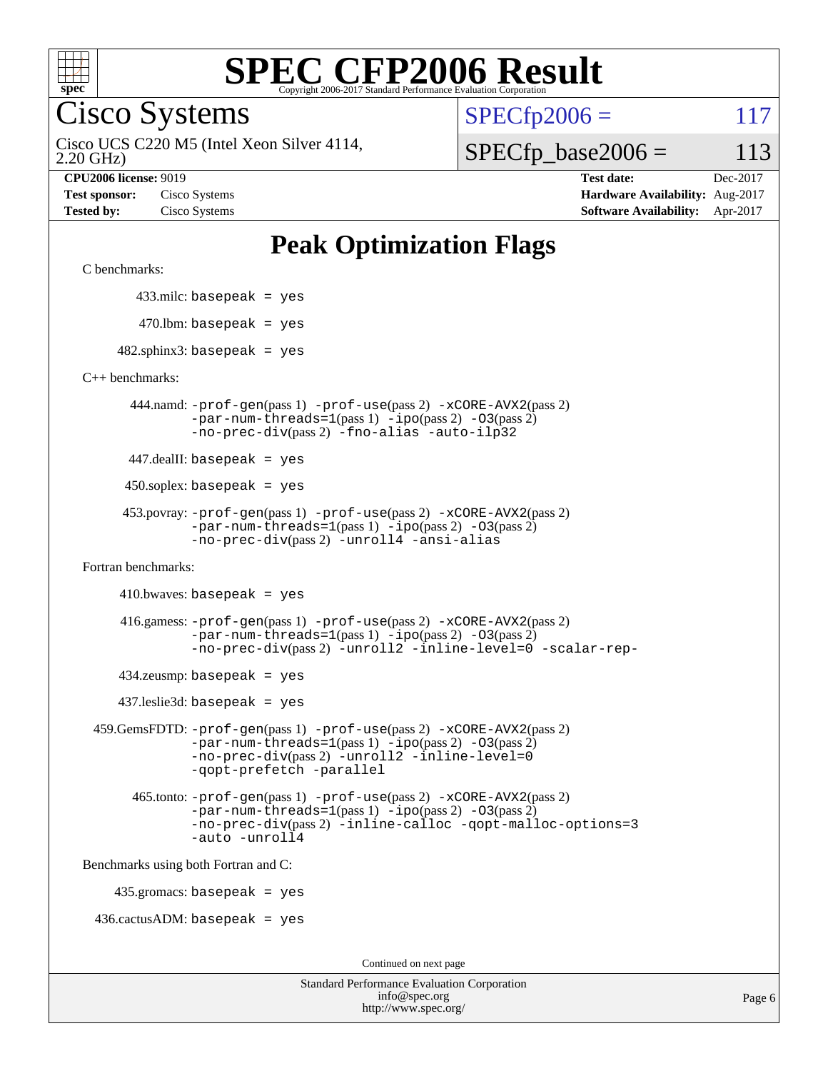

Cisco Systems

 $SPECTp2006 = 117$ 

2.20 GHz) Cisco UCS C220 M5 (Intel Xeon Silver 4114,

#### $SPECfp\_base2006 = 113$

**[CPU2006 license:](http://www.spec.org/auto/cpu2006/Docs/result-fields.html#CPU2006license)** 9019 **[Test date:](http://www.spec.org/auto/cpu2006/Docs/result-fields.html#Testdate)** Dec-2017 **[Test sponsor:](http://www.spec.org/auto/cpu2006/Docs/result-fields.html#Testsponsor)** Cisco Systems **[Hardware Availability:](http://www.spec.org/auto/cpu2006/Docs/result-fields.html#HardwareAvailability)** Aug-2017 **[Tested by:](http://www.spec.org/auto/cpu2006/Docs/result-fields.html#Testedby)** Cisco Systems **[Software Availability:](http://www.spec.org/auto/cpu2006/Docs/result-fields.html#SoftwareAvailability)** Apr-2017

## **[Peak Optimization Flags](http://www.spec.org/auto/cpu2006/Docs/result-fields.html#PeakOptimizationFlags)**

[C benchmarks](http://www.spec.org/auto/cpu2006/Docs/result-fields.html#Cbenchmarks):

433.milc: basepeak = yes

 $470.$ lbm: basepeak = yes

 $482$ .sphinx3: basepeak = yes

[C++ benchmarks:](http://www.spec.org/auto/cpu2006/Docs/result-fields.html#CXXbenchmarks)

 444.namd: [-prof-gen](http://www.spec.org/cpu2006/results/res2017q4/cpu2006-20171211-50981.flags.html#user_peakPASS1_CXXFLAGSPASS1_LDFLAGS444_namd_prof_gen_e43856698f6ca7b7e442dfd80e94a8fc)(pass 1) [-prof-use](http://www.spec.org/cpu2006/results/res2017q4/cpu2006-20171211-50981.flags.html#user_peakPASS2_CXXFLAGSPASS2_LDFLAGS444_namd_prof_use_bccf7792157ff70d64e32fe3e1250b55)(pass 2) [-xCORE-AVX2](http://www.spec.org/cpu2006/results/res2017q4/cpu2006-20171211-50981.flags.html#user_peakPASS2_CXXFLAGSPASS2_LDFLAGS444_namd_f-xCORE-AVX2)(pass 2)  $-par-num-threads=1(pass 1) -ipo(pass 2) -O3(pass 2)$  $-par-num-threads=1(pass 1) -ipo(pass 2) -O3(pass 2)$  $-par-num-threads=1(pass 1) -ipo(pass 2) -O3(pass 2)$  $-par-num-threads=1(pass 1) -ipo(pass 2) -O3(pass 2)$  $-par-num-threads=1(pass 1) -ipo(pass 2) -O3(pass 2)$  $-par-num-threads=1(pass 1) -ipo(pass 2) -O3(pass 2)$ [-no-prec-div](http://www.spec.org/cpu2006/results/res2017q4/cpu2006-20171211-50981.flags.html#user_peakPASS2_CXXFLAGSPASS2_LDFLAGS444_namd_f-no-prec-div)(pass 2) [-fno-alias](http://www.spec.org/cpu2006/results/res2017q4/cpu2006-20171211-50981.flags.html#user_peakCXXOPTIMIZEOPTIMIZE444_namd_f-no-alias_694e77f6c5a51e658e82ccff53a9e63a) [-auto-ilp32](http://www.spec.org/cpu2006/results/res2017q4/cpu2006-20171211-50981.flags.html#user_peakCXXOPTIMIZE444_namd_f-auto-ilp32)

447.dealII: basepeak = yes

 $450$ .soplex: basepeak = yes

 453.povray: [-prof-gen](http://www.spec.org/cpu2006/results/res2017q4/cpu2006-20171211-50981.flags.html#user_peakPASS1_CXXFLAGSPASS1_LDFLAGS453_povray_prof_gen_e43856698f6ca7b7e442dfd80e94a8fc)(pass 1) [-prof-use](http://www.spec.org/cpu2006/results/res2017q4/cpu2006-20171211-50981.flags.html#user_peakPASS2_CXXFLAGSPASS2_LDFLAGS453_povray_prof_use_bccf7792157ff70d64e32fe3e1250b55)(pass 2) [-xCORE-AVX2](http://www.spec.org/cpu2006/results/res2017q4/cpu2006-20171211-50981.flags.html#user_peakPASS2_CXXFLAGSPASS2_LDFLAGS453_povray_f-xCORE-AVX2)(pass 2)  $-par-num-threads=1(pass 1) -ipo(pass 2) -O3(pass 2)$  $-par-num-threads=1(pass 1) -ipo(pass 2) -O3(pass 2)$  $-par-num-threads=1(pass 1) -ipo(pass 2) -O3(pass 2)$  $-par-num-threads=1(pass 1) -ipo(pass 2) -O3(pass 2)$  $-par-num-threads=1(pass 1) -ipo(pass 2) -O3(pass 2)$  $-par-num-threads=1(pass 1) -ipo(pass 2) -O3(pass 2)$ [-no-prec-div](http://www.spec.org/cpu2006/results/res2017q4/cpu2006-20171211-50981.flags.html#user_peakPASS2_CXXFLAGSPASS2_LDFLAGS453_povray_f-no-prec-div)(pass 2) [-unroll4](http://www.spec.org/cpu2006/results/res2017q4/cpu2006-20171211-50981.flags.html#user_peakCXXOPTIMIZE453_povray_f-unroll_4e5e4ed65b7fd20bdcd365bec371b81f) [-ansi-alias](http://www.spec.org/cpu2006/results/res2017q4/cpu2006-20171211-50981.flags.html#user_peakCXXOPTIMIZE453_povray_f-ansi-alias)

[Fortran benchmarks](http://www.spec.org/auto/cpu2006/Docs/result-fields.html#Fortranbenchmarks):

 $410.bwaves: basepeak = yes$ 

 416.gamess: [-prof-gen](http://www.spec.org/cpu2006/results/res2017q4/cpu2006-20171211-50981.flags.html#user_peakPASS1_FFLAGSPASS1_LDFLAGS416_gamess_prof_gen_e43856698f6ca7b7e442dfd80e94a8fc)(pass 1) [-prof-use](http://www.spec.org/cpu2006/results/res2017q4/cpu2006-20171211-50981.flags.html#user_peakPASS2_FFLAGSPASS2_LDFLAGS416_gamess_prof_use_bccf7792157ff70d64e32fe3e1250b55)(pass 2) [-xCORE-AVX2](http://www.spec.org/cpu2006/results/res2017q4/cpu2006-20171211-50981.flags.html#user_peakPASS2_FFLAGSPASS2_LDFLAGS416_gamess_f-xCORE-AVX2)(pass 2)  $-par-num-threads=1(pass 1) -ipo(pass 2) -O3(pass 2)$  $-par-num-threads=1(pass 1) -ipo(pass 2) -O3(pass 2)$  $-par-num-threads=1(pass 1) -ipo(pass 2) -O3(pass 2)$  $-par-num-threads=1(pass 1) -ipo(pass 2) -O3(pass 2)$  $-par-num-threads=1(pass 1) -ipo(pass 2) -O3(pass 2)$  $-par-num-threads=1(pass 1) -ipo(pass 2) -O3(pass 2)$ [-no-prec-div](http://www.spec.org/cpu2006/results/res2017q4/cpu2006-20171211-50981.flags.html#user_peakPASS2_FFLAGSPASS2_LDFLAGS416_gamess_f-no-prec-div)(pass 2) [-unroll2](http://www.spec.org/cpu2006/results/res2017q4/cpu2006-20171211-50981.flags.html#user_peakOPTIMIZE416_gamess_f-unroll_784dae83bebfb236979b41d2422d7ec2) [-inline-level=0](http://www.spec.org/cpu2006/results/res2017q4/cpu2006-20171211-50981.flags.html#user_peakOPTIMIZE416_gamess_f-inline-level_318d07a09274ad25e8d15dbfaa68ba50) [-scalar-rep-](http://www.spec.org/cpu2006/results/res2017q4/cpu2006-20171211-50981.flags.html#user_peakOPTIMIZE416_gamess_f-disablescalarrep_abbcad04450fb118e4809c81d83c8a1d)

 $434$ .zeusmp: basepeak = yes

437.leslie3d: basepeak = yes

 459.GemsFDTD: [-prof-gen](http://www.spec.org/cpu2006/results/res2017q4/cpu2006-20171211-50981.flags.html#user_peakPASS1_FFLAGSPASS1_LDFLAGS459_GemsFDTD_prof_gen_e43856698f6ca7b7e442dfd80e94a8fc)(pass 1) [-prof-use](http://www.spec.org/cpu2006/results/res2017q4/cpu2006-20171211-50981.flags.html#user_peakPASS2_FFLAGSPASS2_LDFLAGS459_GemsFDTD_prof_use_bccf7792157ff70d64e32fe3e1250b55)(pass 2) [-xCORE-AVX2](http://www.spec.org/cpu2006/results/res2017q4/cpu2006-20171211-50981.flags.html#user_peakPASS2_FFLAGSPASS2_LDFLAGS459_GemsFDTD_f-xCORE-AVX2)(pass 2) [-par-num-threads=1](http://www.spec.org/cpu2006/results/res2017q4/cpu2006-20171211-50981.flags.html#user_peakPASS1_FFLAGSPASS1_LDFLAGS459_GemsFDTD_par_num_threads_786a6ff141b4e9e90432e998842df6c2)(pass 1) [-ipo](http://www.spec.org/cpu2006/results/res2017q4/cpu2006-20171211-50981.flags.html#user_peakPASS2_FFLAGSPASS2_LDFLAGS459_GemsFDTD_f-ipo)(pass 2) [-O3](http://www.spec.org/cpu2006/results/res2017q4/cpu2006-20171211-50981.flags.html#user_peakPASS2_FFLAGSPASS2_LDFLAGS459_GemsFDTD_f-O3)(pass 2) [-no-prec-div](http://www.spec.org/cpu2006/results/res2017q4/cpu2006-20171211-50981.flags.html#user_peakPASS2_FFLAGSPASS2_LDFLAGS459_GemsFDTD_f-no-prec-div)(pass 2) [-unroll2](http://www.spec.org/cpu2006/results/res2017q4/cpu2006-20171211-50981.flags.html#user_peakOPTIMIZE459_GemsFDTD_f-unroll_784dae83bebfb236979b41d2422d7ec2) [-inline-level=0](http://www.spec.org/cpu2006/results/res2017q4/cpu2006-20171211-50981.flags.html#user_peakOPTIMIZE459_GemsFDTD_f-inline-level_318d07a09274ad25e8d15dbfaa68ba50) [-qopt-prefetch](http://www.spec.org/cpu2006/results/res2017q4/cpu2006-20171211-50981.flags.html#user_peakOPTIMIZE459_GemsFDTD_f-qopt-prefetch) [-parallel](http://www.spec.org/cpu2006/results/res2017q4/cpu2006-20171211-50981.flags.html#user_peakOPTIMIZE459_GemsFDTD_f-parallel)

 465.tonto: [-prof-gen](http://www.spec.org/cpu2006/results/res2017q4/cpu2006-20171211-50981.flags.html#user_peakPASS1_FFLAGSPASS1_LDFLAGS465_tonto_prof_gen_e43856698f6ca7b7e442dfd80e94a8fc)(pass 1) [-prof-use](http://www.spec.org/cpu2006/results/res2017q4/cpu2006-20171211-50981.flags.html#user_peakPASS2_FFLAGSPASS2_LDFLAGS465_tonto_prof_use_bccf7792157ff70d64e32fe3e1250b55)(pass 2) [-xCORE-AVX2](http://www.spec.org/cpu2006/results/res2017q4/cpu2006-20171211-50981.flags.html#user_peakPASS2_FFLAGSPASS2_LDFLAGS465_tonto_f-xCORE-AVX2)(pass 2)  $-par-num-threads=1(pass 1) -ipo(pass 2) -O3(pass 2)$  $-par-num-threads=1(pass 1) -ipo(pass 2) -O3(pass 2)$  $-par-num-threads=1(pass 1) -ipo(pass 2) -O3(pass 2)$  $-par-num-threads=1(pass 1) -ipo(pass 2) -O3(pass 2)$  $-par-num-threads=1(pass 1) -ipo(pass 2) -O3(pass 2)$  $-par-num-threads=1(pass 1) -ipo(pass 2) -O3(pass 2)$ [-no-prec-div](http://www.spec.org/cpu2006/results/res2017q4/cpu2006-20171211-50981.flags.html#user_peakPASS2_FFLAGSPASS2_LDFLAGS465_tonto_f-no-prec-div)(pass 2) [-inline-calloc](http://www.spec.org/cpu2006/results/res2017q4/cpu2006-20171211-50981.flags.html#user_peakOPTIMIZE465_tonto_f-inline-calloc) [-qopt-malloc-options=3](http://www.spec.org/cpu2006/results/res2017q4/cpu2006-20171211-50981.flags.html#user_peakOPTIMIZE465_tonto_f-qopt-malloc-options_0fcb435012e78f27d57f473818e45fe4) [-auto](http://www.spec.org/cpu2006/results/res2017q4/cpu2006-20171211-50981.flags.html#user_peakOPTIMIZE465_tonto_f-auto) [-unroll4](http://www.spec.org/cpu2006/results/res2017q4/cpu2006-20171211-50981.flags.html#user_peakOPTIMIZE465_tonto_f-unroll_4e5e4ed65b7fd20bdcd365bec371b81f)

[Benchmarks using both Fortran and C](http://www.spec.org/auto/cpu2006/Docs/result-fields.html#BenchmarksusingbothFortranandC):

435.gromacs: basepeak = yes

 $436.cactusADM:basepeak = yes$ 

Continued on next page